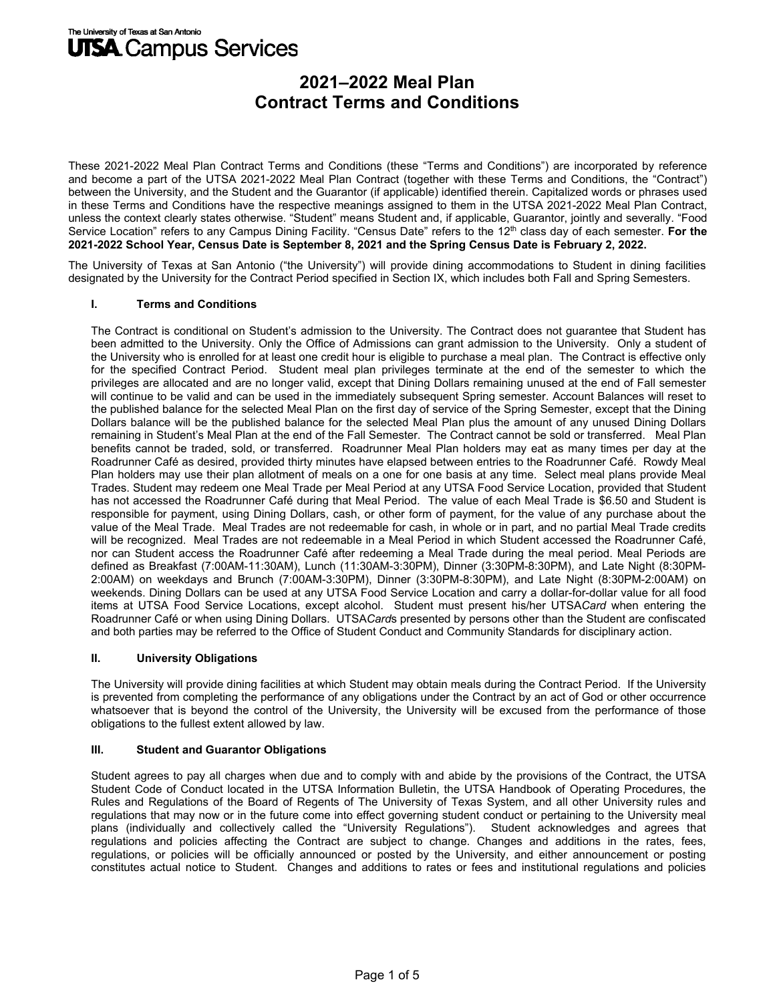These 2021-2022 Meal Plan Contract Terms and Conditions (these "Terms and Conditions") are incorporated by reference and become a part of the UTSA 2021-2022 Meal Plan Contract (together with these Terms and Conditions, the "Contract") between the University, and the Student and the Guarantor (if applicable) identified therein. Capitalized words or phrases used in these Terms and Conditions have the respective meanings assigned to them in the UTSA 2021-2022 Meal Plan Contract, unless the context clearly states otherwise. "Student" means Student and, if applicable, Guarantor, jointly and severally. "Food Service Location" refers to any Campus Dining Facility. "Census Date" refers to the 12<sup>th</sup> class day of each semester. For the **2021-2022 School Year, Census Date is September 8, 2021 and the Spring Census Date is February 2, 2022.** 

The University of Texas at San Antonio ("the University") will provide dining accommodations to Student in dining facilities designated by the University for the Contract Period specified in Section IX, which includes both Fall and Spring Semesters.

### **I.** 0**Terms and Conditions**

The Contract is conditional on Student's admission to the University. The Contract does not guarantee that Student has been admitted to the University. Only the Office of Admissions can grant admission to the University. Only a student of the University who is enrolled for at least one credit hour is eligible to purchase a meal plan. The Contract is effective only for the specified Contract Period. Student meal plan privileges terminate at the end of the semester to which the privileges are allocated and are no longer valid, except that Dining Dollars remaining unused at the end of Fall semester will continue to be valid and can be used in the immediately subsequent Spring semester. Account Balances will reset to the published balance for the selected Meal Plan on the first day of service of the Spring Semester, except that the Dining Dollars balance will be the published balance for the selected Meal Plan plus the amount of any unused Dining Dollars remaining in Student's Meal Plan at the end of the Fall Semester. The Contract cannot be sold or transferred. Meal Plan benefits cannot be traded, sold, or transferred. Roadrunner Meal Plan holders may eat as many times per day at the Roadrunner Café as desired, provided thirty minutes have elapsed between entries to the Roadrunner Café. Rowdy Meal Plan holders may use their plan allotment of meals on a one for one basis at any time. Select meal plans provide Meal Trades. Student may redeem one Meal Trade per Meal Period at any UTSA Food Service Location, provided that Student has not accessed the Roadrunner Café during that Meal Period. The value of each Meal Trade is \$6.50 and Student is responsible for payment, using Dining Dollars, cash, or other form of payment, for the value of any purchase about the value of the Meal Trade. Meal Trades are not redeemable for cash, in whole or in part, and no partial Meal Trade credits will be recognized. Meal Trades are not redeemable in a Meal Period in which Student accessed the Roadrunner Café, nor can Student access the Roadrunner Café after redeeming a Meal Trade during the meal period. Meal Periods are defined as Breakfast (7:00AM-11:30AM), Lunch (11:30AM-3:30PM), Dinner (3:30PM-8:30PM), and Late Night (8:30PM-2:00AM) on weekdays and Brunch (7:00AM-3:30PM), Dinner (3:30PM-8:30PM), and Late Night (8:30PM-2:00AM) on weekends. Dining Dollars can be used at any UTSA Food Service Location and carry a dollar-for-dollar value for all food items at UTSA Food Service Locations, except alcohol. Student must present his/her UTSA*Card* when entering the Roadrunner Café or when using Dining Dollars. UTSA*Card*s presented by persons other than the Student are confiscated and both parties may be referred to the Office of Student Conduct and Community Standards for disciplinary action.

#### **II. University Obligations**

The University will provide dining facilities at which Student may obtain meals during the Contract Period. If the University is prevented from completing the performance of any obligations under the Contract by an act of God or other occurrence whatsoever that is beyond the control of the University, the University will be excused from the performance of those obligations to the fullest extent allowed by law.

### **III. Student and Guarantor Obligations**

Student agrees to pay all charges when due and to comply with and abide by the provisions of the Contract, the UTSA Student Code of Conduct located in the UTSA Information Bulletin, the UTSA Handbook of Operating Procedures, the Rules and Regulations of the Board of Regents of The University of Texas System, and all other University rules and regulations that may now or in the future come into effect governing student conduct or pertaining to the University meal plans (individually and collectively called the "University Regulations"). Student acknowledges and agrees that regulations and policies affecting the Contract are subject to change. Changes and additions in the rates, fees, regulations, or policies will be officially announced or posted by the University, and either announcement or posting constitutes actual notice to Student. Changes and additions to rates or fees and institutional regulations and policies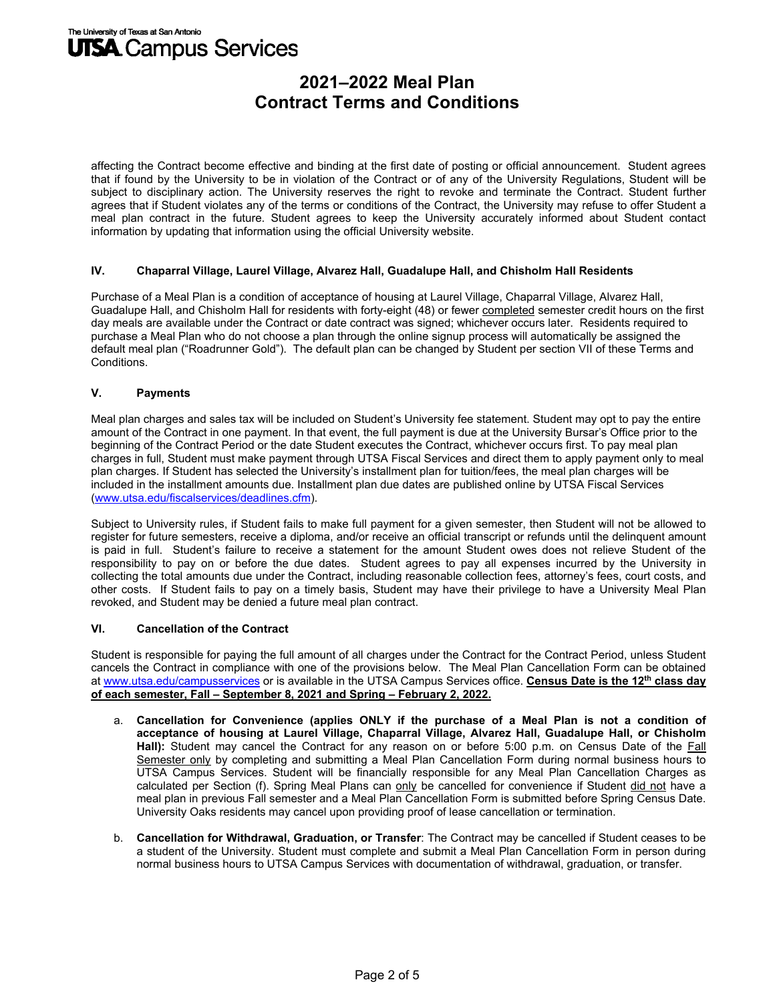affecting the Contract become effective and binding at the first date of posting or official announcement. Student agrees that if found by the University to be in violation of the Contract or of any of the University Regulations, Student will be subject to disciplinary action. The University reserves the right to revoke and terminate the Contract. Student further agrees that if Student violates any of the terms or conditions of the Contract, the University may refuse to offer Student a meal plan contract in the future. Student agrees to keep the University accurately informed about Student contact information by updating that information using the official University website.

#### **IV. Chaparral Village, Laurel Village, Alvarez Hall, Guadalupe Hall, and Chisholm Hall Residents**

Purchase of a Meal Plan is a condition of acceptance of housing at Laurel Village, Chaparral Village, Alvarez Hall, Guadalupe Hall, and Chisholm Hall for residents with forty-eight (48) or fewer completed semester credit hours on the first day meals are available under the Contract or date contract was signed; whichever occurs later. Residents required to purchase a Meal Plan who do not choose a plan through the online signup process will automatically be assigned the default meal plan ("Roadrunner Gold"). The default plan can be changed by Student per section VII of these Terms and Conditions.

### **V. Payments**

Meal plan charges and sales tax will be included on Student's University fee statement. Student may opt to pay the entire amount of the Contract in one payment. In that event, the full payment is due at the University Bursar's Office prior to the beginning of the Contract Period or the date Student executes the Contract, whichever occurs first. To pay meal plan charges in full, Student must make payment through UTSA Fiscal Services and direct them to apply payment only to meal plan charges. If Student has selected the University's installment plan for tuition/fees, the meal plan charges will be included in the installment amounts due. Installment plan due dates are published online by UTSA Fiscal Services (www.utsa.edu/fiscalservices/deadlines.cfm).

Subject to University rules, if Student fails to make full payment for a given semester, then Student will not be allowed to register for future semesters, receive a diploma, and/or receive an official transcript or refunds until the delinquent amount is paid in full. Student's failure to receive a statement for the amount Student owes does not relieve Student of the responsibility to pay on or before the due dates. Student agrees to pay all expenses incurred by the University in collecting the total amounts due under the Contract, including reasonable collection fees, attorney's fees, court costs, and other costs. If Student fails to pay on a timely basis, Student may have their privilege to have a University Meal Plan revoked, and Student may be denied a future meal plan contract.

#### **VI. Cancellation of the Contract**

Student is responsible for paying the full amount of all charges under the Contract for the Contract Period, unless Student cancels the Contract in compliance with one of the provisions below. The Meal Plan Cancellation Form can be obtained at www.utsa.edu/campusservices or is available in the UTSA Campus Services office. **Census Date is the 12th class day of each semester, Fall – September 8, 2021 and Spring – February 2, 2022.** 

- a. **Cancellation for Convenience (applies ONLY if the purchase of a Meal Plan is not a condition of acceptance of housing at Laurel Village, Chaparral Village, Alvarez Hall, Guadalupe Hall, or Chisholm Hall):** Student may cancel the Contract for any reason on or before 5:00 p.m. on Census Date of the Fall Semester only by completing and submitting a Meal Plan Cancellation Form during normal business hours to UTSA Campus Services. Student will be financially responsible for any Meal Plan Cancellation Charges as calculated per Section (f). Spring Meal Plans can only be cancelled for convenience if Student did not have a meal plan in previous Fall semester and a Meal Plan Cancellation Form is submitted before Spring Census Date. University Oaks residents may cancel upon providing proof of lease cancellation or termination.
- b. **Cancellation for Withdrawal, Graduation, or Transfer**: The Contract may be cancelled if Student ceases to be a student of the University. Student must complete and submit a Meal Plan Cancellation Form in person during normal business hours to UTSA Campus Services with documentation of withdrawal, graduation, or transfer.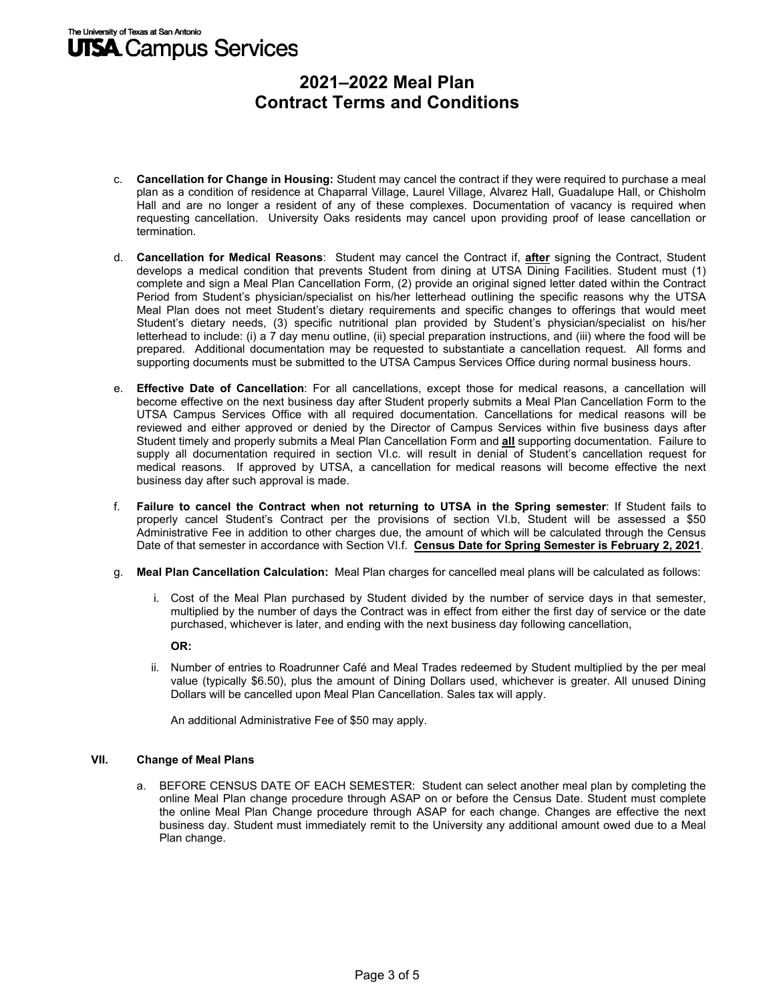## The University of Texas at San Antonio **UTSA** Campus Services

# **2021–2022 Meal Plan Contract Terms and Conditions**

- c. **Cancellation for Change in Housing:** Student may cancel the contract if they were required to purchase a meal plan as a condition of residence at Chaparral Village, Laurel Village, Alvarez Hall, Guadalupe Hall, or Chisholm Hall and are no longer a resident of any of these complexes. Documentation of vacancy is required when requesting cancellation. University Oaks residents may cancel upon providing proof of lease cancellation or termination.
- d. **Cancellation for Medical Reasons**: Student may cancel the Contract if, **after** signing the Contract, Student develops a medical condition that prevents Student from dining at UTSA Dining Facilities. Student must (1) complete and sign a Meal Plan Cancellation Form, (2) provide an original signed letter dated within the Contract Period from Student's physician/specialist on his/her letterhead outlining the specific reasons why the UTSA Meal Plan does not meet Student's dietary requirements and specific changes to offerings that would meet Student's dietary needs, (3) specific nutritional plan provided by Student's physician/specialist on his/her letterhead to include: (i) a 7 day menu outline, (ii) special preparation instructions, and (iii) where the food will be prepared. Additional documentation may be requested to substantiate a cancellation request. All forms and supporting documents must be submitted to the UTSA Campus Services Office during normal business hours.
- e. **Effective Date of Cancellation**: For all cancellations, except those for medical reasons, a cancellation will become effective on the next business day after Student properly submits a Meal Plan Cancellation Form to the UTSA Campus Services Office with all required documentation. Cancellations for medical reasons will be reviewed and either approved or denied by the Director of Campus Services within five business days after Student timely and properly submits a Meal Plan Cancellation Form and **all** supporting documentation. Failure to supply all documentation required in section VI.c. will result in denial of Student's cancellation request for medical reasons. If approved by UTSA, a cancellation for medical reasons will become effective the next business day after such approval is made.
- f. **Failure to cancel the Contract when not returning to UTSA in the Spring semester**: If Student fails to properly cancel Student's Contract per the provisions of section VI.b, Student will be assessed a \$50 Administrative Fee in addition to other charges due, the amount of which will be calculated through the Census Date of that semester in accordance with Section VI.f. **Census Date for Spring Semester is February 2, 2021**.
- g. **Meal Plan Cancellation Calculation:** Meal Plan charges for cancelled meal plans will be calculated as follows:
	- i. Cost of the Meal Plan purchased by Student divided by the number of service days in that semester, multiplied by the number of days the Contract was in effect from either the first day of service or the date purchased, whichever is later, and ending with the next business day following cancellation,

#### **OR:**

ii. Number of entries to Roadrunner Café and Meal Trades redeemed by Student multiplied by the per meal value (typically \$6.50), plus the amount of Dining Dollars used, whichever is greater. All unused Dining Dollars will be cancelled upon Meal Plan Cancellation. Sales tax will apply.

An additional Administrative Fee of \$50 may apply.

### **VII.** Change of Meal Plans

a. BEFORE CENSUS DATE OF EACH SEMESTER: Student can select another meal plan by completing the online Meal Plan change procedure through ASAP on or before the Census Date. Student must complete the online Meal Plan Change procedure through ASAP for each change. Changes are effective the next business day. Student must immediately remit to the University any additional amount owed due to a Meal Plan change.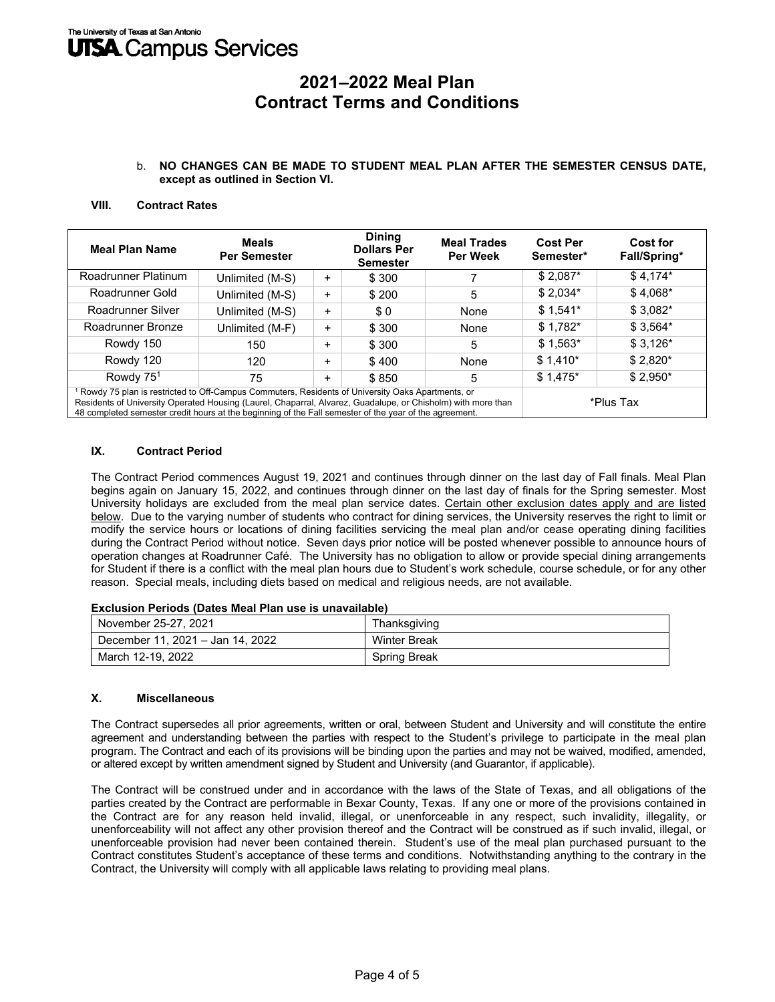#### b. **NO CHANGES CAN BE MADE TO STUDENT MEAL PLAN AFTER THE SEMESTER CENSUS DATE, except as outlined in Section VI.**

### **VIII.** 7**Contract Rates**

| <b>Meal Plan Name</b>                                                                                                                                                                                                                                                                                                                   | <b>Meals</b><br><b>Per Semester</b> |           | <b>Dining</b><br><b>Dollars Per</b><br><b>Semester</b> | <b>Meal Trades</b><br><b>Per Week</b> | <b>Cost Per</b><br>Semester* | Cost for<br>Fall/Spring* |
|-----------------------------------------------------------------------------------------------------------------------------------------------------------------------------------------------------------------------------------------------------------------------------------------------------------------------------------------|-------------------------------------|-----------|--------------------------------------------------------|---------------------------------------|------------------------------|--------------------------|
| Roadrunner Platinum                                                                                                                                                                                                                                                                                                                     | Unlimited (M-S)                     | +         | \$300                                                  |                                       | $$2,087*$                    | $$4,174*$                |
| Roadrunner Gold                                                                                                                                                                                                                                                                                                                         | Unlimited (M-S)                     | +         | \$200                                                  | 5                                     | $$2,034*$                    | $$4,068*$                |
| Roadrunner Silver                                                                                                                                                                                                                                                                                                                       | Unlimited (M-S)                     | +         | \$0                                                    | None                                  | $$1,541*$                    | $$3,082*$                |
| Roadrunner Bronze                                                                                                                                                                                                                                                                                                                       | Unlimited (M-F)                     | +         | \$300                                                  | None                                  | $$1,782*$                    | $$3,564*$                |
| Rowdy 150                                                                                                                                                                                                                                                                                                                               | 150                                 | +         | \$300                                                  | 5                                     | $$1,563*$                    | $$3,126*$                |
| Rowdy 120                                                                                                                                                                                                                                                                                                                               | 120                                 | +         | \$400                                                  | None                                  | $$1,410*$                    | $$2,820*$                |
| Rowdy 75 <sup>1</sup>                                                                                                                                                                                                                                                                                                                   | 75                                  | $\ddot{}$ | \$850                                                  | 5                                     | $$1,475$ *                   | $$2,950*$                |
| <sup>1</sup> Rowdy 75 plan is restricted to Off-Campus Commuters, Residents of University Oaks Apartments, or<br>Residents of University Operated Housing (Laurel, Chaparral, Alvarez, Guadalupe, or Chisholm) with more than<br>48 completed semester credit hours at the beginning of the Fall semester of the year of the agreement. |                                     |           |                                                        |                                       | *Plus Tax                    |                          |

#### **IX.** Contract Period

The Contract Period commences August 19, 2021 and continues through dinner on the last day of Fall finals. Meal Plan begins again on January 15, 2022, and continues through dinner on the last day of finals for the Spring semester. Most University holidays are excluded from the meal plan service dates. Certain other exclusion dates apply and are listed below. Due to the varying number of students who contract for dining services, the University reserves the right to limit or modify the service hours or locations of dining facilities servicing the meal plan and/or cease operating dining facilities during the Contract Period without notice. Seven days prior notice will be posted whenever possible to announce hours of operation changes at Roadrunner Café. The University has no obligation to allow or provide special dining arrangements for Student if there is a conflict with the meal plan hours due to Student's work schedule, course schedule, or for any other reason. Special meals, including diets based on medical and religious needs, are not available.

#### **Exclusion Periods (Dates Meal Plan use is unavailable)**

| November 25-27, 2021             | Thanksgiving        |  |  |
|----------------------------------|---------------------|--|--|
| December 11, 2021 - Jan 14, 2022 | <b>Winter Break</b> |  |  |
| March 12-19, 2022                | Spring Break        |  |  |

#### **X. Miscellaneous**

The Contract supersedes all prior agreements, written or oral, between Student and University and will constitute the entire agreement and understanding between the parties with respect to the Student's privilege to participate in the meal plan program. The Contract and each of its provisions will be binding upon the parties and may not be waived, modified, amended, or altered except by written amendment signed by Student and University (and Guarantor, if applicable).

The Contract will be construed under and in accordance with the laws of the State of Texas, and all obligations of the parties created by the Contract are performable in Bexar County, Texas. If any one or more of the provisions contained in the Contract are for any reason held invalid, illegal, or unenforceable in any respect, such invalidity, illegality, or unenforceability will not affect any other provision thereof and the Contract will be construed as if such invalid, illegal, or unenforceable provision had never been contained therein. Student's use of the meal plan purchased pursuant to the Contract constitutes Student's acceptance of these terms and conditions. Notwithstanding anything to the contrary in the Contract, the University will comply with all applicable laws relating to providing meal plans.